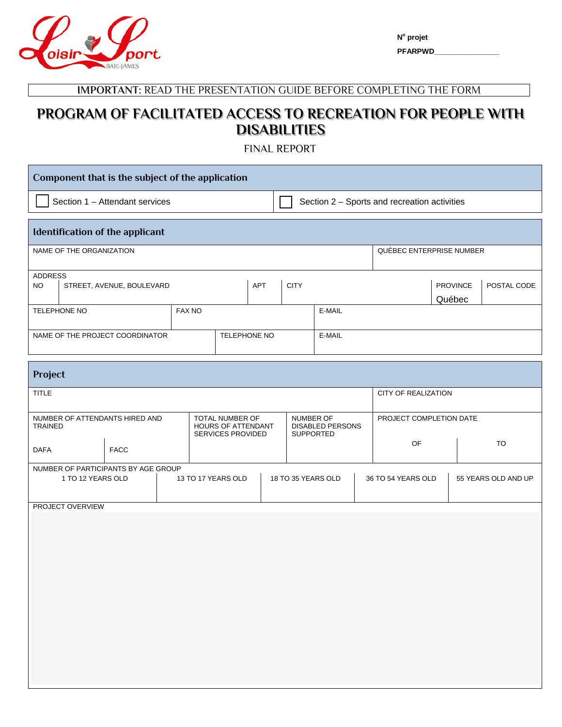

H.

**No projet PFARPWD\_\_\_\_\_\_\_\_\_\_\_\_\_\_\_\_**

**IMPORTANT:** READ THE PRESENTATION GUIDE BEFORE COMPLETING THE FORM

## **PROGRAM OF FACILITATED ACCESS TO RECREATION FOR PEOPLE WITH DISABILITIES**

FINAL REPORT

|                                | Component that is the subject of the application |               |                                              |                     |             |        |                          |                 |             |
|--------------------------------|--------------------------------------------------|---------------|----------------------------------------------|---------------------|-------------|--------|--------------------------|-----------------|-------------|
| Section 1 – Attendant services |                                                  |               | Section 2 - Sports and recreation activities |                     |             |        |                          |                 |             |
|                                | Identification of the applicant                  |               |                                              |                     |             |        |                          |                 |             |
|                                | NAME OF THE ORGANIZATION                         |               |                                              |                     |             |        | QUÉBEC ENTERPRISE NUMBER |                 |             |
| <b>ADDRESS</b>                 |                                                  |               |                                              |                     |             |        |                          |                 |             |
| NO.                            | STREET, AVENUE, BOULEVARD                        |               |                                              | <b>APT</b>          | <b>CITY</b> |        |                          | <b>PROVINCE</b> | POSTAL CODE |
|                                |                                                  |               |                                              |                     |             |        |                          | Québec          |             |
|                                | <b>TELEPHONE NO</b>                              | <b>FAX NO</b> |                                              |                     |             | E-MAIL |                          |                 |             |
|                                |                                                  |               |                                              |                     |             |        |                          |                 |             |
|                                | NAME OF THE PROJECT COORDINATOR                  |               |                                              | <b>TELEPHONE NO</b> |             | E-MAIL |                          |                 |             |

| Project                                                  |             |                                                            |                    |                                                          |  |                         |                     |           |
|----------------------------------------------------------|-------------|------------------------------------------------------------|--------------------|----------------------------------------------------------|--|-------------------------|---------------------|-----------|
| <b>TITLE</b>                                             |             |                                                            |                    | <b>CITY OF REALIZATION</b>                               |  |                         |                     |           |
| NUMBER OF ATTENDANTS HIRED AND<br><b>TRAINED</b>         |             | TOTAL NUMBER OF<br>HOURS OF ATTENDANT<br>SERVICES PROVIDED |                    | NUMBER OF<br><b>DISABLED PERSONS</b><br><b>SUPPORTED</b> |  | PROJECT COMPLETION DATE |                     |           |
| <b>DAFA</b>                                              | <b>FACC</b> |                                                            |                    |                                                          |  |                         | <b>OF</b>           | <b>TO</b> |
| NUMBER OF PARTICIPANTS BY AGE GROUP<br>1 TO 12 YEARS OLD |             | 13 TO 17 YEARS OLD                                         | 18 TO 35 YEARS OLD |                                                          |  | 36 TO 54 YEARS OLD      | 55 YEARS OLD AND UP |           |
| PROJECT OVERVIEW                                         |             |                                                            |                    |                                                          |  |                         |                     |           |
|                                                          |             |                                                            |                    |                                                          |  |                         |                     |           |
|                                                          |             |                                                            |                    |                                                          |  |                         |                     |           |
|                                                          |             |                                                            |                    |                                                          |  |                         |                     |           |
|                                                          |             |                                                            |                    |                                                          |  |                         |                     |           |
|                                                          |             |                                                            |                    |                                                          |  |                         |                     |           |